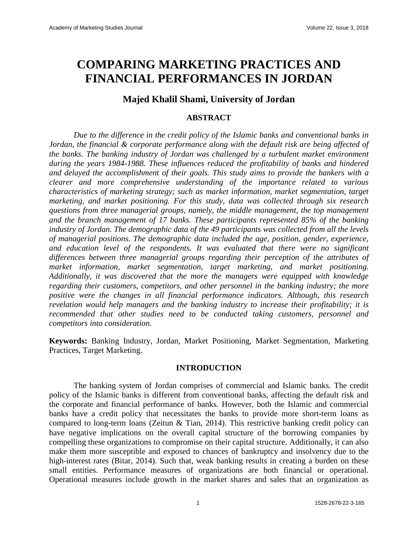# **COMPARING MARKETING PRACTICES AND FINANCIAL PERFORMANCES IN JORDAN**

# **Majed Khalil Shami, University of Jordan**

#### **ABSTRACT**

*Due to the difference in the credit policy of the Islamic banks and conventional banks in Jordan, the financial & corporate performance along with the default risk are being affected of the banks. The banking industry of Jordan was challenged by a turbulent market environment during the years 1984-1988. These influences reduced the profitability of banks and hindered and delayed the accomplishment of their goals. This study aims to provide the bankers with a clearer and more comprehensive understanding of the importance related to various characteristics of marketing strategy; such as market information, market segmentation, target marketing, and market positioning. For this study, data was collected through six research questions from three managerial groups, namely, the middle management, the top management and the branch management of 17 banks. These participants represented 85% of the banking industry of Jordan. The demographic data of the 49 participants was collected from all the levels of managerial positions. The demographic data included the age, position, gender, experience, and education level of the respondents. It was evaluated that there were no significant differences between three managerial groups regarding their perception of the attributes of market information, market segmentation, target marketing, and market positioning. Additionally, it was discovered that the more the managers were equipped with knowledge regarding their customers, competitors, and other personnel in the banking industry; the more positive were the changes in all financial performance indicators. Although, this research revelation would help managers and the banking industry to increase their profitability; it is recommended that other studies need to be conducted taking customers, personnel and competitors into consideration.*

**Keywords:** Banking Industry, Jordan, Market Positioning, Market Segmentation, Marketing Practices, Target Marketing.

#### **INTRODUCTION**

The banking system of Jordan comprises of commercial and Islamic banks. The credit policy of the Islamic banks is different from conventional banks, affecting the default risk and the corporate and financial performance of banks. However, both the Islamic and commercial banks have a credit policy that necessitates the banks to provide more short-term loans as compared to long-term loans (Zeitun & Tian, 2014). This restrictive banking credit policy can have negative implications on the overall capital structure of the borrowing companies by compelling these organizations to compromise on their capital structure. Additionally, it can also make them more susceptible and exposed to chances of bankruptcy and insolvency due to the high-interest rates (Bitar, 2014). Such that, weak banking results in creating a burden on these small entities. Performance measures of organizations are both financial or operational. Operational measures include growth in the market shares and sales that an organization as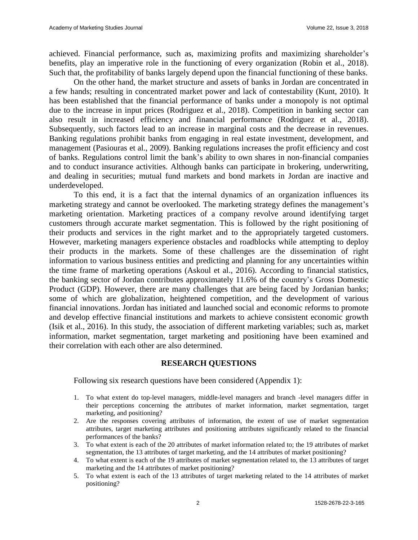achieved. Financial performance, such as, maximizing profits and maximizing shareholder's benefits, play an imperative role in the functioning of every organization (Robin et al., 2018). Such that, the profitability of banks largely depend upon the financial functioning of these banks.

On the other hand, the market structure and assets of banks in Jordan are concentrated in a few hands; resulting in concentrated market power and lack of contestability (Kunt, 2010). It has been established that the financial performance of banks under a monopoly is not optimal due to the increase in input prices (Rodriguez et al., 2018). Competition in banking sector can also result in increased efficiency and financial performance (Rodriguez et al., 2018). Subsequently, such factors lead to an increase in marginal costs and the decrease in revenues. Banking regulations prohibit banks from engaging in real estate investment, development, and management (Pasiouras et al., 2009). Banking regulations increases the profit efficiency and cost of banks. Regulations control limit the bank's ability to own shares in non-financial companies and to conduct insurance activities. Although banks can participate in brokering, underwriting, and dealing in securities; mutual fund markets and bond markets in Jordan are inactive and underdeveloped.

To this end, it is a fact that the internal dynamics of an organization influences its marketing strategy and cannot be overlooked. The marketing strategy defines the management's marketing orientation. Marketing practices of a company revolve around identifying target customers through accurate market segmentation. This is followed by the right positioning of their products and services in the right market and to the appropriately targeted customers. However, marketing managers experience obstacles and roadblocks while attempting to deploy their products in the markets. Some of these challenges are the dissemination of right information to various business entities and predicting and planning for any uncertainties within the time frame of marketing operations (Askoul et al., 2016). According to financial statistics, the banking sector of Jordan contributes approximately 11.6% of the country's Gross Domestic Product (GDP). However, there are many challenges that are being faced by Jordanian banks; some of which are globalization, heightened competition, and the development of various financial innovations. Jordan has initiated and launched social and economic reforms to promote and develop effective financial institutions and markets to achieve consistent economic growth (Isik et al., 2016). In this study, the association of different marketing variables; such as, market information, market segmentation, target marketing and positioning have been examined and their correlation with each other are also determined.

#### **RESEARCH QUESTIONS**

Following six research questions have been considered (Appendix 1):

- 1. To what extent do top-level managers, middle-level managers and branch -level managers differ in their perceptions concerning the attributes of market information, market segmentation, target marketing, and positioning?
- 2. Are the responses covering attributes of information, the extent of use of market segmentation attributes, target marketing attributes and positioning attributes significantly related to the financial performances of the banks?
- 3. To what extent is each of the 20 attributes of market information related to; the 19 attributes of market segmentation, the 13 attributes of target marketing, and the 14 attributes of market positioning?
- 4. To what extent is each of the 19 attributes of market segmentation related to, the 13 attributes of target marketing and the 14 attributes of market positioning?
- 5. To what extent is each of the 13 attributes of target marketing related to the 14 attributes of market positioning?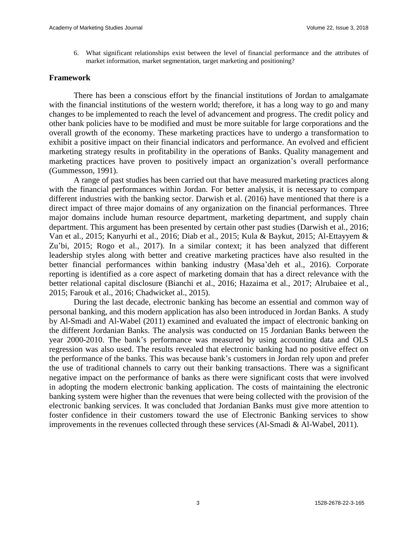6. What significant relationships exist between the level of financial performance and the attributes of market information, market segmentation, target marketing and positioning?

#### **Framework**

There has been a conscious effort by the financial institutions of Jordan to amalgamate with the financial institutions of the western world; therefore, it has a long way to go and many changes to be implemented to reach the level of advancement and progress. The credit policy and other bank policies have to be modified and must be more suitable for large corporations and the overall growth of the economy. These marketing practices have to undergo a transformation to exhibit a positive impact on their financial indicators and performance. An evolved and efficient marketing strategy results in profitability in the operations of Banks. Quality management and marketing practices have proven to positively impact an organization's overall performance (Gummesson, 1991).

A range of past studies has been carried out that have measured marketing practices along with the financial performances within Jordan. For better analysis, it is necessary to compare different industries with the banking sector. Darwish et al. (2016) have mentioned that there is a direct impact of three major domains of any organization on the financial performances. Three major domains include human resource department, marketing department, and supply chain department. This argument has been presented by certain other past studies (Darwish et al., 2016; Van et al., 2015; Kanyurhi et al., 2016; Diab et al., 2015; Kula & Baykut, 2015; Al-Ettayyem & Zu'bi, 2015; Rogo et al., 2017). In a similar context; it has been analyzed that different leadership styles along with better and creative marketing practices have also resulted in the better financial performances within banking industry (Masa'deh et al., 2016). Corporate reporting is identified as a core aspect of marketing domain that has a direct relevance with the better relational capital disclosure (Bianchi et al., 2016; Hazaima et al., 2017; Alrubaiee et al., 2015; Farouk et al., 2016; Chadwicket al., 2015).

During the last decade, electronic banking has become an essential and common way of personal banking, and this modern application has also been introduced in Jordan Banks. A study by Al-Smadi and Al-Wabel (2011) examined and evaluated the impact of electronic banking on the different Jordanian Banks. The analysis was conducted on 15 Jordanian Banks between the year 2000-2010. The bank's performance was measured by using accounting data and OLS regression was also used. The results revealed that electronic banking had no positive effect on the performance of the banks. This was because bank's customers in Jordan rely upon and prefer the use of traditional channels to carry out their banking transactions. There was a significant negative impact on the performance of banks as there were significant costs that were involved in adopting the modern electronic banking application. The costs of maintaining the electronic banking system were higher than the revenues that were being collected with the provision of the electronic banking services. It was concluded that Jordanian Banks must give more attention to foster confidence in their customers toward the use of Electronic Banking services to show improvements in the revenues collected through these services (Al-Smadi & Al-Wabel, 2011).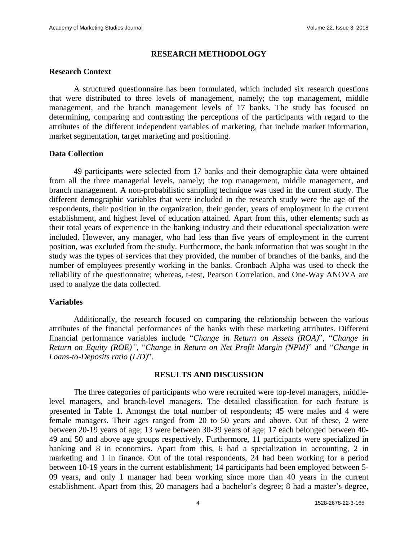#### **RESEARCH METHODOLOGY**

#### **Research Context**

A structured questionnaire has been formulated, which included six research questions that were distributed to three levels of management, namely; the top management, middle management, and the branch management levels of 17 banks. The study has focused on determining, comparing and contrasting the perceptions of the participants with regard to the attributes of the different independent variables of marketing, that include market information, market segmentation, target marketing and positioning.

#### **Data Collection**

49 participants were selected from 17 banks and their demographic data were obtained from all the three managerial levels, namely; the top management, middle management, and branch management. A non-probabilistic sampling technique was used in the current study. The different demographic variables that were included in the research study were the age of the respondents, their position in the organization, their gender, years of employment in the current establishment, and highest level of education attained. Apart from this, other elements; such as their total years of experience in the banking industry and their educational specialization were included. However, any manager, who had less than five years of employment in the current position, was excluded from the study. Furthermore, the bank information that was sought in the study was the types of services that they provided, the number of branches of the banks, and the number of employees presently working in the banks. Cronbach Alpha was used to check the reliability of the questionnaire; whereas, t-test, Pearson Correlation, and One-Way ANOVA are used to analyze the data collected.

#### **Variables**

Additionally, the research focused on comparing the relationship between the various attributes of the financial performances of the banks with these marketing attributes. Different financial performance variables include "*Change in Return on Assets (ROA)*", "*Change in Return on Equity (ROE)",* "*Change in Return on Net Profit Margin (NPM)*" and "*Change in Loans-to-Deposits ratio (L/D)*".

#### **RESULTS AND DISCUSSION**

The three categories of participants who were recruited were top-level managers, middlelevel managers, and branch-level managers. The detailed classification for each feature is presented in Table 1. Amongst the total number of respondents; 45 were males and 4 were female managers. Their ages ranged from 20 to 50 years and above. Out of these, 2 were between 20-19 years of age; 13 were between 30-39 years of age; 17 each belonged between 40- 49 and 50 and above age groups respectively. Furthermore, 11 participants were specialized in banking and 8 in economics. Apart from this, 6 had a specialization in accounting, 2 in marketing and 1 in finance. Out of the total respondents, 24 had been working for a period between 10-19 years in the current establishment; 14 participants had been employed between 5- 09 years, and only 1 manager had been working since more than 40 years in the current establishment. Apart from this, 20 managers had a bachelor's degree; 8 had a master's degree,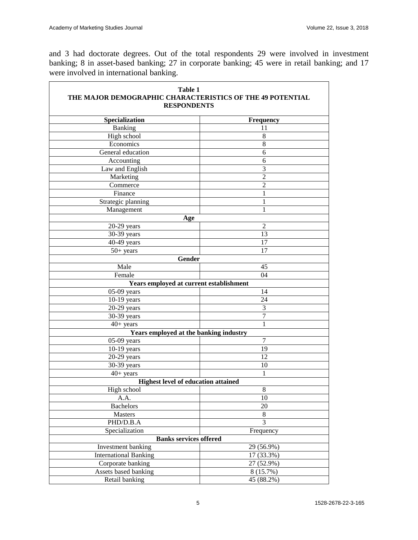$\overline{\mathbf{r}}$ 

and 3 had doctorate degrees. Out of the total respondents 29 were involved in investment banking; 8 in asset-based banking; 27 in corporate banking; 45 were in retail banking; and 17 were involved in international banking.

| Table 1<br>THE MAJOR DEMOGRAPHIC CHARACTERISTICS OF THE 49 POTENTIAL<br><b>RESPONDENTS</b> |                          |  |  |
|--------------------------------------------------------------------------------------------|--------------------------|--|--|
| Specialization                                                                             | Frequency                |  |  |
| Banking                                                                                    | 11                       |  |  |
| High school                                                                                | 8                        |  |  |
| Economics                                                                                  | 8                        |  |  |
| General education                                                                          | 6                        |  |  |
| Accounting                                                                                 | 6                        |  |  |
| Law and English                                                                            | 3                        |  |  |
| Marketing                                                                                  | $\overline{2}$           |  |  |
| Commerce                                                                                   | $\overline{c}$           |  |  |
| Finance                                                                                    |                          |  |  |
| Strategic planning                                                                         |                          |  |  |
| Management                                                                                 |                          |  |  |
| Age                                                                                        |                          |  |  |
| $20-29$ years                                                                              | 2                        |  |  |
| 30-39 years                                                                                | 13                       |  |  |
| $40-49$ years                                                                              | 17                       |  |  |
| $50+$ years                                                                                | 17                       |  |  |
| Gender                                                                                     |                          |  |  |
| Male                                                                                       | 45                       |  |  |
| Female                                                                                     | 04                       |  |  |
| Years employed at current establishment                                                    |                          |  |  |
| $05-09$ years                                                                              | 14                       |  |  |
| $10-19$ years                                                                              | 24                       |  |  |
| $20-29$ years                                                                              | 3                        |  |  |
| 30-39 years                                                                                | 7                        |  |  |
| $40+$ years                                                                                | 1                        |  |  |
| Years employed at the banking industry                                                     |                          |  |  |
| $05-09$ years                                                                              | 7                        |  |  |
| $10-19$ years                                                                              | 19                       |  |  |
| $20-29$ years                                                                              | 12                       |  |  |
| 30-39 years                                                                                | 10                       |  |  |
| $40+$ years                                                                                |                          |  |  |
| <b>Highest level of education attained</b>                                                 |                          |  |  |
| High school                                                                                | $\,8\,$                  |  |  |
| A.A.                                                                                       | 10                       |  |  |
| Bachelors                                                                                  | 20                       |  |  |
| Masters                                                                                    | 8<br>$\overline{3}$      |  |  |
| PHD/D.B.A                                                                                  |                          |  |  |
| Specialization                                                                             | Frequency                |  |  |
| <b>Banks services offered</b>                                                              |                          |  |  |
| <b>Investment</b> banking<br><b>International Banking</b>                                  | 29 (56.9%)<br>17 (33.3%) |  |  |
| Corporate banking                                                                          | 27 (52.9%)               |  |  |
| Assets based banking<br>8 (15.7%)                                                          |                          |  |  |
| Retail banking<br>45 (88.2%)                                                               |                          |  |  |
|                                                                                            |                          |  |  |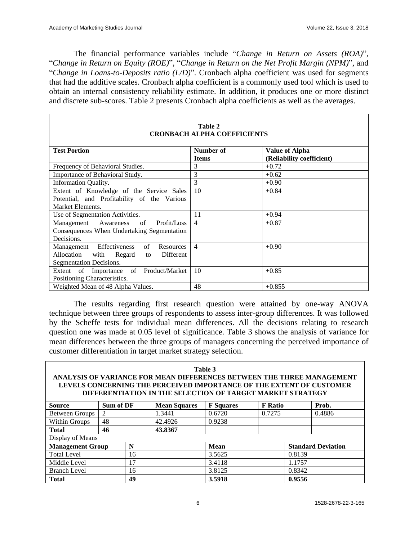The financial performance variables include "*Change in Return on Assets (ROA)*", "*Change in Return on Equity (ROE)*", "*Change in Return on the Net Profit Margin (NPM)*", and "*Change in Loans-to-Deposits ratio (L/D)*". Cronbach alpha coefficient was used for segments that had the additive scales. Cronbach alpha coefficient is a commonly used tool which is used to obtain an internal consistency reliability estimate. In addition, it produces one or more distinct and discrete sub-scores. Table 2 presents Cronbach alpha coefficients as well as the averages.

| Table 2<br><b>CRONBACH ALPHA COEFFICIENTS</b> |                |                           |  |  |
|-----------------------------------------------|----------------|---------------------------|--|--|
|                                               |                |                           |  |  |
| <b>Test Portion</b>                           | Number of      | <b>Value of Alpha</b>     |  |  |
|                                               | <b>Items</b>   | (Reliability coefficient) |  |  |
| Frequency of Behavioral Studies.              | 3              | $+0.72$                   |  |  |
| Importance of Behavioral Study.               | 3              | $+0.62$                   |  |  |
| <b>Information Quality.</b>                   | 3              | $+0.90$                   |  |  |
| Extent of Knowledge of the Service Sales      | 10             | $+0.84$                   |  |  |
| Potential, and Profitability of the Various   |                |                           |  |  |
| Market Elements.                              |                |                           |  |  |
| Use of Segmentation Activities.               | 11             | $+0.94$                   |  |  |
| Management Awareness of<br>Profit/Loss        | $\overline{4}$ | $+0.87$                   |  |  |
| Consequences When Undertaking Segmentation    |                |                           |  |  |
| Decisions.                                    |                |                           |  |  |
| Management Effectiveness of<br>Resources      | $\overline{4}$ | $+0.90$                   |  |  |
| Allocation with Regard<br>Different<br>to     |                |                           |  |  |
| Segmentation Decisions.                       |                |                           |  |  |
| Extent of Importance of Product/Market        | 10             | $+0.85$                   |  |  |
| Positioning Characteristics.                  |                |                           |  |  |
| Weighted Mean of 48 Alpha Values.             | 48             | $+0.855$                  |  |  |

# **Table 2**

The results regarding first research question were attained by one-way ANOVA technique between three groups of respondents to assess inter-group differences. It was followed by the Scheffe tests for individual mean differences. All the decisions relating to research question one was made at 0.05 level of significance. Table 3 shows the analysis of variance for mean differences between the three groups of managers concerning the perceived importance of customer differentiation in target market strategy selection.

| Table 3<br>ANALYSIS OF VARIANCE FOR MEAN DIFFERENCES BETWEEN THE THREE MANAGEMENT<br>LEVELS CONCERNING THE PERCEIVED IMPORTANCE OF THE EXTENT OF CUSTOMER<br>DIFFERENTIATION IN THE SELECTION OF TARGET MARKET STRATEGY |                |  |                     |                  |                |                           |        |
|-------------------------------------------------------------------------------------------------------------------------------------------------------------------------------------------------------------------------|----------------|--|---------------------|------------------|----------------|---------------------------|--------|
| <b>Source</b>                                                                                                                                                                                                           | Sum of DF      |  | <b>Mean Squares</b> | <b>F</b> Squares | <b>F</b> Ratio |                           | Prob.  |
| <b>Between Groups</b>                                                                                                                                                                                                   | $\mathfrak{D}$ |  | 1.3441              | 0.6720           | 0.7275         |                           | 0.4886 |
| Within Groups                                                                                                                                                                                                           | 48             |  | 42.4926             | 0.9238           |                |                           |        |
| <b>Total</b>                                                                                                                                                                                                            | 46             |  | 43.8367             |                  |                |                           |        |
| Display of Means                                                                                                                                                                                                        |                |  |                     |                  |                |                           |        |
| <b>Management Group</b><br>N                                                                                                                                                                                            |                |  |                     | <b>Mean</b>      |                | <b>Standard Deviation</b> |        |
| <b>Total Level</b><br>16                                                                                                                                                                                                |                |  |                     | 3.5625           |                | 0.8139                    |        |
| 17<br>Middle Level                                                                                                                                                                                                      |                |  | 3.4118              |                  | 1.1757         |                           |        |
| 16<br><b>Branch Level</b>                                                                                                                                                                                               |                |  |                     | 3.8125           |                | 0.8342                    |        |
| 49<br><b>Total</b>                                                                                                                                                                                                      |                |  |                     | 3.5918           |                | 0.9556                    |        |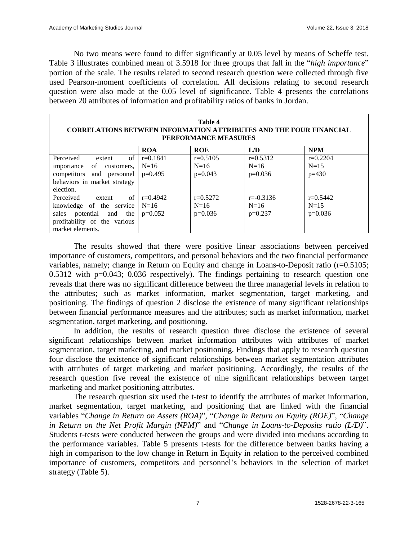No two means were found to differ significantly at 0.05 level by means of Scheffe test. Table 3 illustrates combined mean of 3.5918 for three groups that fall in the "*high importance*" portion of the scale. The results related to second research question were collected through five used Pearson-moment coefficients of correlation. All decisions relating to second research question were also made at the 0.05 level of significance. Table 4 presents the correlations between 20 attributes of information and profitability ratios of banks in Jordan.

| Table 4<br><b>CORRELATIONS BETWEEN INFORMATION ATTRIBUTES AND THE FOUR FINANCIAL</b><br>PERFORMANCE MEASURES                         |                                   |                                   |                                      |                                   |
|--------------------------------------------------------------------------------------------------------------------------------------|-----------------------------------|-----------------------------------|--------------------------------------|-----------------------------------|
|                                                                                                                                      | <b>ROA</b>                        | <b>ROE</b>                        | L/D                                  | <b>NPM</b>                        |
| of<br>Perceived<br>extent<br>importance of customers,<br>competitors and personnel<br>behaviors in market strategy<br>election.      | $r=0.1841$<br>$N=16$<br>$p=0.495$ | $r=0.5105$<br>$N=16$<br>$p=0.043$ | $r=0.5312$<br>$N=16$<br>$p=0.036$    | $r=0.2204$<br>$N=15$<br>$p=430$   |
| of<br>Perceived<br>extent<br>knowledge of the service<br>sales potential and the<br>profitability of the various<br>market elements. | $r=0.4942$<br>$N=16$<br>$p=0.052$ | $r=0.5272$<br>$N=16$<br>$p=0.036$ | $r = -0.3136$<br>$N=16$<br>$p=0.237$ | $r=0.5442$<br>$N=15$<br>$p=0.036$ |

The results showed that there were positive linear associations between perceived importance of customers, competitors, and personal behaviors and the two financial performance variables, namely; change in Return on Equity and change in Loans-to-Deposit ratio (r=0.5105;  $0.5312$  with  $p=0.043$ ;  $0.036$  respectively). The findings pertaining to research question one reveals that there was no significant difference between the three managerial levels in relation to the attributes; such as market information, market segmentation, target marketing, and positioning. The findings of question 2 disclose the existence of many significant relationships between financial performance measures and the attributes; such as market information, market segmentation, target marketing, and positioning.

In addition, the results of research question three disclose the existence of several significant relationships between market information attributes with attributes of market segmentation, target marketing, and market positioning. Findings that apply to research question four disclose the existence of significant relationships between market segmentation attributes with attributes of target marketing and market positioning. Accordingly, the results of the research question five reveal the existence of nine significant relationships between target marketing and market positioning attributes.

The research question six used the t-test to identify the attributes of market information, market segmentation, target marketing, and positioning that are linked with the financial variables "*Change in Return on Assets (ROA)*", "*Change in Return on Equity (ROE)*", "*Change in Return on the Net Profit Margin (NPM)*" and "*Change in Loans-to-Deposits ratio (L/D)*". Students t-tests were conducted between the groups and were divided into medians according to the performance variables. Table 5 presents t-tests for the difference between banks having a high in comparison to the low change in Return in Equity in relation to the perceived combined importance of customers, competitors and personnel's behaviors in the selection of market strategy (Table 5).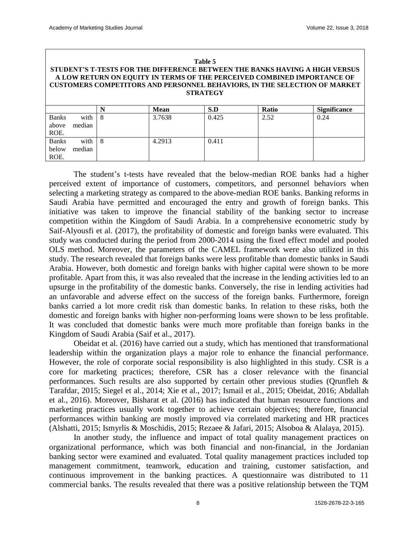| Table 5<br>STUDENT'S T-TESTS FOR THE DIFFERENCE BETWEEN THE BANKS HAVING A HIGH VERSUS<br>A LOW RETURN ON EQUITY IN TERMS OF THE PERCEIVED COMBINED IMPORTANCE OF<br><b>CUSTOMERS COMPETITORS AND PERSONNEL BEHAVIORS, IN THE SELECTION OF MARKET</b><br><b>STRATEGY</b> |                |   |             |       |       |                     |
|--------------------------------------------------------------------------------------------------------------------------------------------------------------------------------------------------------------------------------------------------------------------------|----------------|---|-------------|-------|-------|---------------------|
|                                                                                                                                                                                                                                                                          |                | N | <b>Mean</b> | S.D   | Ratio | <b>Significance</b> |
| <b>Banks</b><br>above<br>ROE.                                                                                                                                                                                                                                            | with<br>median | 8 | 3.7638      | 0.425 | 2.52  | 0.24                |
| <b>Banks</b><br>below<br>ROE.                                                                                                                                                                                                                                            | with<br>median | 8 | 4.2913      | 0.411 |       |                     |

The student's t-tests have revealed that the below-median ROE banks had a higher perceived extent of importance of customers, competitors, and personnel behaviors when selecting a marketing strategy as compared to the above-median ROE banks. Banking reforms in Saudi Arabia have permitted and encouraged the entry and growth of foreign banks. This initiative was taken to improve the financial stability of the banking sector to increase competition within the Kingdom of Saudi Arabia. In a comprehensive econometric study by Saif-Alyousfi et al. (2017), the profitability of domestic and foreign banks were evaluated. This study was conducted during the period from 2000-2014 using the fixed effect model and pooled OLS method. Moreover, the parameters of the CAMEL framework were also utilized in this study. The research revealed that foreign banks were less profitable than domestic banks in Saudi Arabia. However, both domestic and foreign banks with higher capital were shown to be more profitable. Apart from this, it was also revealed that the increase in the lending activities led to an upsurge in the profitability of the domestic banks. Conversely, the rise in lending activities had an unfavorable and adverse effect on the success of the foreign banks. Furthermore, foreign banks carried a lot more credit risk than domestic banks. In relation to these risks, both the domestic and foreign banks with higher non-performing loans were shown to be less profitable. It was concluded that domestic banks were much more profitable than foreign banks in the Kingdom of Saudi Arabia (Saif et al., 2017).

Obeidat et al. (2016) have carried out a study, which has mentioned that transformational leadership within the organization plays a major role to enhance the financial performance. However, the role of corporate social responsibility is also highlighted in this study. CSR is a core for marketing practices; therefore, CSR has a closer relevance with the financial performances. Such results are also supported by certain other previous studies (Qrunfleh & Tarafdar, 2015; Siegel et al., 2014; Xie et al., 2017; Ismail et al., 2015; Obeidat, 2016; Abdallah et al., 2016). Moreover, Bisharat et al. (2016) has indicated that human resource functions and marketing practices usually work together to achieve certain objectives; therefore, financial performances within banking are mostly improved via correlated marketing and HR practices (Alshatti, 2015; Ismyrlis & Moschidis, 2015; Rezaee & Jafari, 2015; Alsoboa & Alalaya, 2015).

In another study, the influence and impact of total quality management practices on organizational performance, which was both financial and non-financial, in the Jordanian banking sector were examined and evaluated. Total quality management practices included top management commitment, teamwork, education and training, customer satisfaction, and continuous improvement in the banking practices. A questionnaire was distributed to 11 commercial banks. The results revealed that there was a positive relationship between the TQM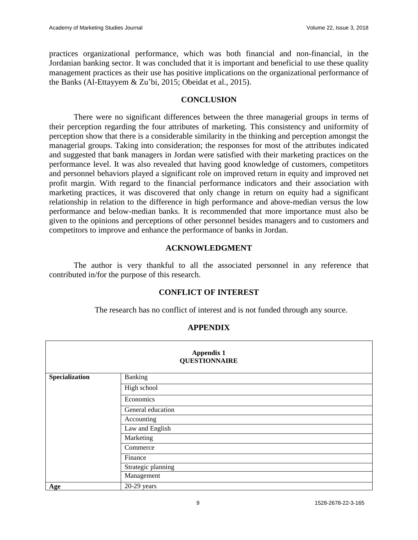practices organizational performance, which was both financial and non-financial, in the Jordanian banking sector. It was concluded that it is important and beneficial to use these quality management practices as their use has positive implications on the organizational performance of the Banks (Al-Ettayyem & Zu'bi, 2015; Obeidat et al., 2015).

#### **CONCLUSION**

There were no significant differences between the three managerial groups in terms of their perception regarding the four attributes of marketing. This consistency and uniformity of perception show that there is a considerable similarity in the thinking and perception amongst the managerial groups. Taking into consideration; the responses for most of the attributes indicated and suggested that bank managers in Jordan were satisfied with their marketing practices on the performance level. It was also revealed that having good knowledge of customers, competitors and personnel behaviors played a significant role on improved return in equity and improved net profit margin. With regard to the financial performance indicators and their association with marketing practices, it was discovered that only change in return on equity had a significant relationship in relation to the difference in high performance and above-median versus the low performance and below-median banks. It is recommended that more importance must also be given to the opinions and perceptions of other personnel besides managers and to customers and competitors to improve and enhance the performance of banks in Jordan.

### **ACKNOWLEDGMENT**

The author is very thankful to all the associated personnel in any reference that contributed in/for the purpose of this research.

# **CONFLICT OF INTEREST**

The research has no conflict of interest and is not funded through any source.

| <b>Appendix 1</b><br><b>QUESTIONNAIRE</b> |                    |  |  |
|-------------------------------------------|--------------------|--|--|
| Specialization                            | Banking            |  |  |
|                                           | High school        |  |  |
|                                           | Economics          |  |  |
|                                           | General education  |  |  |
|                                           | Accounting         |  |  |
|                                           | Law and English    |  |  |
|                                           | Marketing          |  |  |
|                                           | Commerce           |  |  |
|                                           | Finance            |  |  |
|                                           | Strategic planning |  |  |
|                                           | Management         |  |  |
| Age                                       | $20-29$ years      |  |  |

# **APPENDIX**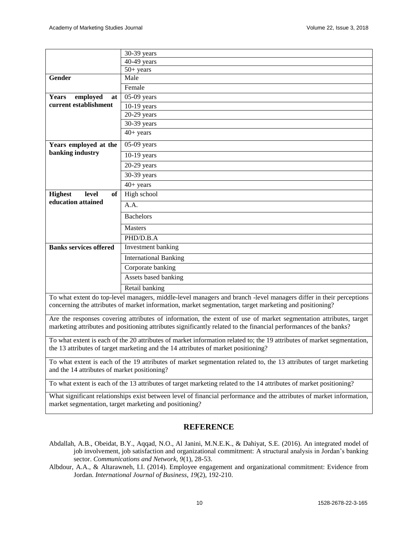|                                                                                                                                                                                                                                        | 30-39 years                  |  |  |
|----------------------------------------------------------------------------------------------------------------------------------------------------------------------------------------------------------------------------------------|------------------------------|--|--|
|                                                                                                                                                                                                                                        | $40-49$ years                |  |  |
|                                                                                                                                                                                                                                        | $50+$ years                  |  |  |
| Gender                                                                                                                                                                                                                                 | Male                         |  |  |
|                                                                                                                                                                                                                                        | Female                       |  |  |
| employed<br><b>Years</b><br>at                                                                                                                                                                                                         | $05-09$ years                |  |  |
| current establishment                                                                                                                                                                                                                  | $10-19$ years                |  |  |
|                                                                                                                                                                                                                                        | $20-29$ years                |  |  |
|                                                                                                                                                                                                                                        | 30-39 years                  |  |  |
|                                                                                                                                                                                                                                        | $40+$ years                  |  |  |
| Years employed at the                                                                                                                                                                                                                  | $05-09$ years                |  |  |
| banking industry                                                                                                                                                                                                                       | $10-19$ years                |  |  |
|                                                                                                                                                                                                                                        | $20-29$ years                |  |  |
|                                                                                                                                                                                                                                        | 30-39 years                  |  |  |
|                                                                                                                                                                                                                                        | $40+$ years                  |  |  |
| <b>Highest</b><br>level<br>of                                                                                                                                                                                                          | High school                  |  |  |
| education attained                                                                                                                                                                                                                     | A.A.                         |  |  |
|                                                                                                                                                                                                                                        | <b>Bachelors</b>             |  |  |
|                                                                                                                                                                                                                                        | <b>Masters</b>               |  |  |
|                                                                                                                                                                                                                                        | PHD/D.B.A                    |  |  |
| <b>Banks services offered</b>                                                                                                                                                                                                          | Investment banking           |  |  |
|                                                                                                                                                                                                                                        | <b>International Banking</b> |  |  |
|                                                                                                                                                                                                                                        | Corporate banking            |  |  |
|                                                                                                                                                                                                                                        | Assets based banking         |  |  |
|                                                                                                                                                                                                                                        | Retail banking               |  |  |
| To what extent do top-level managers, middle-level managers and branch -level managers differ in their perceptions<br>concerning the attributes of market information, market segmentation, target marketing and positioning?          |                              |  |  |
| Are the responses covering attributes of information, the extent of use of market segmentation attributes, target<br>marketing attributes and positioning attributes significantly related to the financial performances of the banks? |                              |  |  |
| To what extent is each of the 20 attributes of market information related to; the 19 attributes of market segmentation,<br>the 13 attributes of target marketing and the 14 attributes of market positioning?                          |                              |  |  |

To what extent is each of the 19 attributes of market segmentation related to, the 13 attributes of target marketing and the 14 attributes of market positioning?

To what extent is each of the 13 attributes of target marketing related to the 14 attributes of market positioning?

What significant relationships exist between level of financial performance and the attributes of market information, market segmentation, target marketing and positioning?

#### **REFERENCE**

- Abdallah, A.B., Obeidat, B.Y., Aqqad, N.O., Al Janini, M.N.E.K., & Dahiyat, S.E. (2016). An integrated model of job involvement, job satisfaction and organizational commitment: A structural analysis in Jordan's banking sector. *Communications and Network, 9*(1), 28-53.
- Albdour, A.A., & Altarawneh, I.I. (2014). Employee engagement and organizational commitment: Evidence from Jordan. *International Journal of Business*, *19*(2), 192-210.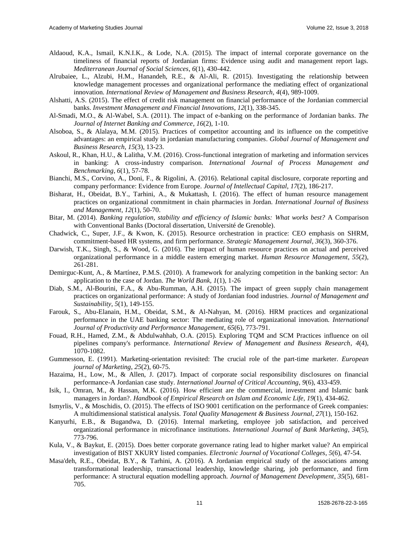- Aldaoud, K.A., Ismail, K.N.I.K., & Lode, N.A. (2015). The impact of internal corporate governance on the timeliness of financial reports of Jordanian firms: Evidence using audit and management report lags. *Mediterranean Journal of Social Sciences*, *6*(1), 430-442.
- Alrubaiee, L., Alzubi, H.M., Hanandeh, R.E., & Al-Ali, R. (2015). Investigating the relationship between knowledge management processes and organizational performance the mediating effect of organizational innovation. *International Review of Management and Business Research, 4*(4), 989-1009.
- Alshatti, A.S. (2015). The effect of credit risk management on financial performance of the Jordanian commercial banks. *Investment Management and Financial Innovations*, *12*(1), 338-345.
- Al-Smadi, M.O., & Al-Wabel, S.A. (2011). The impact of e-banking on the performance of Jordanian banks. *The Journal of Internet Banking and Commerce*, *16*(2), 1-10.
- Alsoboa, S., & Alalaya, M.M. (2015). Practices of competitor accounting and its influence on the competitive advantages: an empirical study in jordanian manufacturing companies. *Global Journal of Management and Business Research*, *15*(3), 13-23.
- Askoul, R., Khan, H.U., & Lalitha, V.M. (2016). Cross-functional integration of marketing and information services in banking: A cross-industry comparison. *International Journal of Process Management and Benchmarking*, *6*(1), 57-78.
- Bianchi, M.S., Corvino, A., Doni, F., & Rigolini, A. (2016). Relational capital disclosure, corporate reporting and company performance: Evidence from Europe. *Journal of Intellectual Capital*, *17*(2), 186-217.
- Bisharat, H., Obeidat, B.Y., Tarhini, A., & Mukattash, I. (2016). The effect of human resource management practices on organizational commitment in chain pharmacies in Jordan. *International Journal of Business and Management*, *12*(1), 50-70.
- Bitar, M. (2014). *Banking regulation, stability and efficiency of Islamic banks: What works best?* A Comparison with Conventional Banks (Doctoral dissertation, Université de Grenoble).
- Chadwick, C., Super, J.F., & Kwon, K. (2015). Resource orchestration in practice: CEO emphasis on SHRM, commitment‐based HR systems, and firm performance. *Strategic Management Journal*, *36*(3), 360-376.
- Darwish, T.K., Singh, S., & Wood, G. (2016). The impact of human resource practices on actual and perceived organizational performance in a middle eastern emerging market. *Human Resource Management*, *55*(2), 261-281.
- Demirguc-Kunt, A., & Martínez, P.M.S. (2010). A framework for analyzing competition in the banking sector: An application to the case of Jordan. *The World Bank, 1*(1), 1-26
- Diab, S.M., Al-Bourini, F.A., & Abu-Rumman, A.H. (2015). The impact of green supply chain management practices on organizational performance: A study of Jordanian food industries. *Journal of Management and Sustainability*, *5*(1), 149-155.
- Farouk, S., Abu-Elanain, H.M., Obeidat, S.M., & Al-Nahyan, M. (2016). HRM practices and organizational performance in the UAE banking sector: The mediating role of organizational innovation. *International Journal of Productivity and Performance Management*, *65*(6), 773-791.
- Fouad, R.H., Hamed, Z.M., & Abdulwahhab, O.A. (2015). Exploring TQM and SCM Practices influence on oil pipelines company's performance. *International Review of Management and Business Research*, *4*(4), 1070-1082.
- Gummesson, E. (1991). Marketing-orientation revisited: The crucial role of the part-time marketer. *European journal of Marketing*, *25*(2), 60-75.
- Hazaima, H., Low, M., & Allen, J. (2017). Impact of corporate social responsibility disclosures on financial performance-A Jordanian case study. *International Journal of Critical Accounting*, *9*(6), 433-459.
- Isik, I., Omran, M., & Hassan, M.K. (2016). How efficient are the commercial, investment and Islamic bank managers in Jordan?. *Handbook of Empirical Research on Islam and Economic Life, 19*(1), 434-462.
- Ismyrlis, V., & Moschidis, O. (2015). The effects of ISO 9001 certification on the performance of Greek companies: A multidimensional statistical analysis. *Total Quality Management & Business Journal*, *27*(1), 150-162.
- Kanyurhi, E.B., & Bugandwa, D. (2016). Internal marketing, employee job satisfaction, and perceived organizational performance in microfinance institutions. *International Journal of Bank Marketing*, *34*(5), 773-796.
- Kula, V., & Baykut, E. (2015). Does better corporate governance rating lead to higher market value? An empirical investigation of BIST XKURY listed companies. *Electronic Journal of Vocational Colleges*, *5*(6), 47-54.
- Masa'deh, R.E., Obeidat, B.Y., & Tarhini, A. (2016). A Jordanian empirical study of the associations among transformational leadership, transactional leadership, knowledge sharing, job performance, and firm performance: A structural equation modelling approach. *Journal of Management Development*, *35*(5), 681- 705.